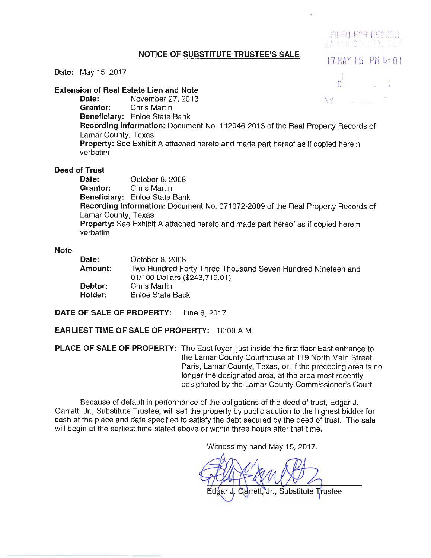# **NOTICE OF SUBSTITUTE TRUSTEE'S SALE** 17 MAY 15 PM **4**: 0 !

FILED FOR RECORD LAPLIK COLUTY

# **Date:** May 15, 2017

**Extension of Real Estate Lien and Note**   $\rm{c}$ **Date:** November 27, 2013 **Date: November 27, 2013 Grantor:** Chris Martin **Beneficiary:** Enloe State Bank **Recording Information:** Document No. 112046-2013 of the Real Property Records of Lamar County, Texas **Property:** See Exhibit A attached hereto and made part hereof as if copied herein verbatim

## **Deed of Trust**

**Date:** October 8, 2008 **Grantor:** Chris Martin **Beneficiary:** Enloe State Bank **Recording Information:** Document No. 071072-2009 of the Real Property Records of Lamar County, Texas **Property:** See Exhibit A attached hereto and made part hereof as if copied herein verbatim

## **Note**

| Date:          | October 8, 2008                                             |
|----------------|-------------------------------------------------------------|
| Amount: .      | Two Hundred Forty-Three Thousand Seven Hundred Nineteen and |
|                | 01/100 Dollars (\$243,719.01)                               |
| <b>Debtor:</b> | Chris Martin                                                |
| Holder:        | Enloe State Back                                            |
|                |                                                             |

**DATE OF SALE OF PROPERTY:** June 6, 2017

**EARLIEST TIME OF SALE OF PROPERTY:** 10:00 A.M.

**PLACE OF SALE OF PROPERTY:** The East foyer, just inside the first floor East entrance to the Lamar County Courthouse at 119 North Main Street, Paris, Lamar County, Texas, or, if the preceding area is no longer the designated area, at the area most recently designated by the Lamar County Commissioner's Court

Because of default in performance of the obligations of the deed of trust, Edgar J. Garrett, Jr., Substitute Trustee, will sell the property by public auction to the highest bidder for cash at the place and date specified to satisfy the debt secured by the deed of trust. The sale will begin at the earliest time stated above or within three hours after that time.

Witness my hand May 15, 2017.

Edgar J. Garrett, Jr., Substitute Trustee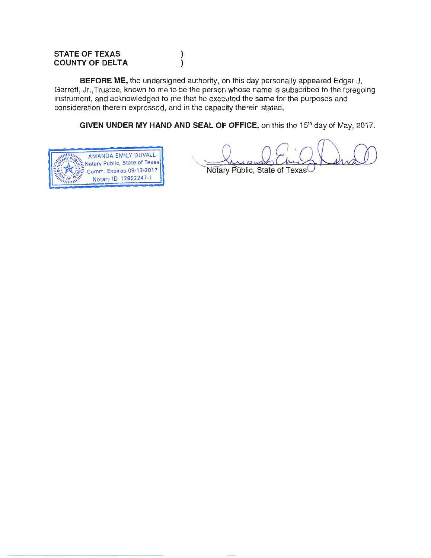# **STATE OF TEXAS COUNTY OF DELTA**

**BEFORE ME,** the undersigned authority, on this day personally appeared Edgar J. Garrett, Jr.,Trustee, known to me to be the person whose name is subscribed to the foregoing instrument, and acknowledged to me that he executed the same for the purposes and consideration therein expressed, and in the capacity therein stated.

)  $\lambda$ 

**GIVEN UNDER MY HAND AND SEAL OF OFFICE,** on this the 15<sup>th</sup> day of May, 2017.



Notary Public, State of Texas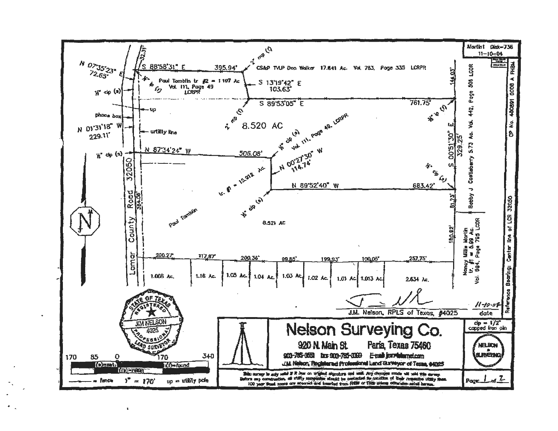

 $\mathbf{1}$